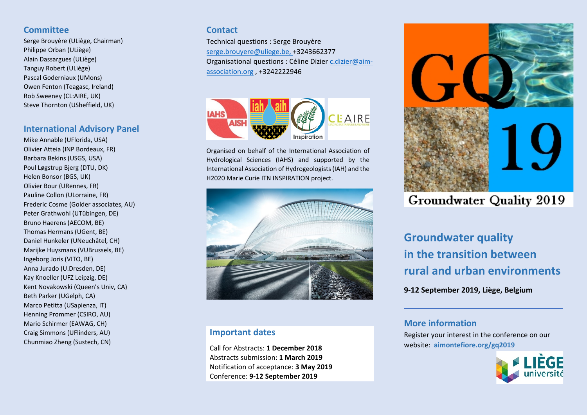# **Committee**

Serge Brouyère (ULiège, Chairman) Philippe Orban (ULiège) Alain Dassargues (ULiège) Tanguy Robert (ULiège) Pascal Goderniaux (UMons) Owen Fenton (Teagasc, Ireland) Rob Sweeney (CL:AIRE, UK) Steve Thornton (USheffield, UK)

# **International Advisory Panel**

Mike Annable (UFlorida, USA) Olivier Atteia (INP Bordeaux, FR) Barbara Bekins (USGS, USA) Poul Løgstrup Bjerg (DTU, DK) Helen Bonsor (BGS, UK) Olivier Bour (URennes, FR) Pauline Collon (ULorraine, FR) Frederic Cosme (Golder associates, AU) Peter Grathwohl (UTübingen, DE) Bruno Haerens (AECOM, BE) Thomas Hermans (UGent, BE) Daniel Hunkeler (UNeuchâtel, CH) Marijke Huysmans (VUBrussels, BE) Ingeborg Joris (VITO, BE) Anna Jurado (U.Dresden, DE) Kay Knoeller (UFZ Leipzig, DE) Kent Novakowski (Queen's Univ, CA) Beth Parker (UGelph, CA) Marco Petitta (USapienza, IT) Henning Prommer (CSIRO, AU) Mario Schirmer (EAWAG, CH) Craig Simmons (UFlinders, AU) Chunmiao Zheng (Sustech, CN)

# **Contact**

Technical questions : Serge Brouyère [serge.brouyere@uliege.be,](mailto:serge.brouyere@uliege.be) +3243662377 Organisational questions : Céline Dizier [c.dizier@aim](mailto:c.dizier@aim-association.org)[association.org](mailto:c.dizier@aim-association.org) , +3242222946



Organised on behalf of the International Association of Hydrological Sciences (IAHS) and supported by the International Association of Hydrogeologists (IAH) and the H2020 Marie Curie ITN INSPIRATION project.



# **Important dates**

Call for Abstracts: **1 December 2018** Abstracts submission: **1 March 2019** Notification of acceptance: **3 May 2019** Conference: **9-12 September 2019**



# Groundwater Quality 2019

**Groundwater quality in the transition between rural and urban environments**

**9-12 September 2019, Liège, Belgium**

# **More information**

Register your interest in the conference on our website: **[aimontefiore.org/gq2019](http://aimontefiore.org/en/evenement/groundwater-quality-2019-gq2019/)**